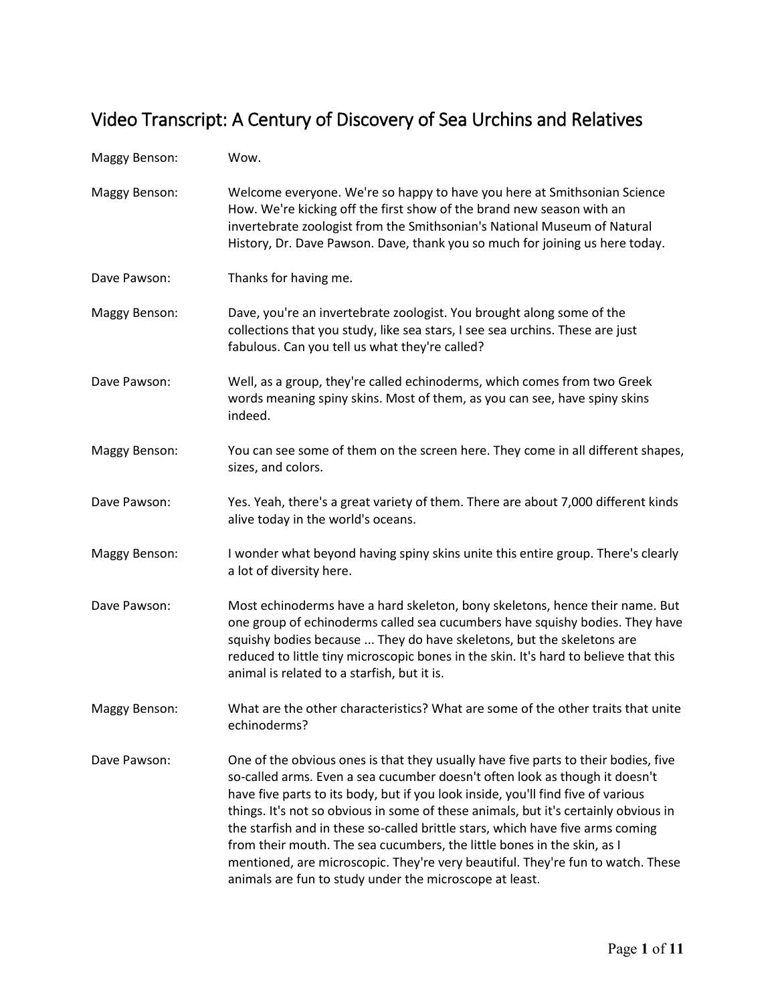## Video Transcript: A Century of Discovery of Sea Urchins and Relatives

| Maggy Benson: | Wow.                                                                                                                                                                                                                                                                                                                                                                                                                                                                                                                                                                                                                                                    |
|---------------|---------------------------------------------------------------------------------------------------------------------------------------------------------------------------------------------------------------------------------------------------------------------------------------------------------------------------------------------------------------------------------------------------------------------------------------------------------------------------------------------------------------------------------------------------------------------------------------------------------------------------------------------------------|
| Maggy Benson: | Welcome everyone. We're so happy to have you here at Smithsonian Science<br>How. We're kicking off the first show of the brand new season with an<br>invertebrate zoologist from the Smithsonian's National Museum of Natural<br>History, Dr. Dave Pawson. Dave, thank you so much for joining us here today.                                                                                                                                                                                                                                                                                                                                           |
| Dave Pawson:  | Thanks for having me.                                                                                                                                                                                                                                                                                                                                                                                                                                                                                                                                                                                                                                   |
| Maggy Benson: | Dave, you're an invertebrate zoologist. You brought along some of the<br>collections that you study, like sea stars, I see sea urchins. These are just<br>fabulous. Can you tell us what they're called?                                                                                                                                                                                                                                                                                                                                                                                                                                                |
| Dave Pawson:  | Well, as a group, they're called echinoderms, which comes from two Greek<br>words meaning spiny skins. Most of them, as you can see, have spiny skins<br>indeed.                                                                                                                                                                                                                                                                                                                                                                                                                                                                                        |
| Maggy Benson: | You can see some of them on the screen here. They come in all different shapes,<br>sizes, and colors.                                                                                                                                                                                                                                                                                                                                                                                                                                                                                                                                                   |
| Dave Pawson:  | Yes. Yeah, there's a great variety of them. There are about 7,000 different kinds<br>alive today in the world's oceans.                                                                                                                                                                                                                                                                                                                                                                                                                                                                                                                                 |
| Maggy Benson: | I wonder what beyond having spiny skins unite this entire group. There's clearly<br>a lot of diversity here.                                                                                                                                                                                                                                                                                                                                                                                                                                                                                                                                            |
| Dave Pawson:  | Most echinoderms have a hard skeleton, bony skeletons, hence their name. But<br>one group of echinoderms called sea cucumbers have squishy bodies. They have<br>squishy bodies because  They do have skeletons, but the skeletons are<br>reduced to little tiny microscopic bones in the skin. It's hard to believe that this<br>animal is related to a starfish, but it is.                                                                                                                                                                                                                                                                            |
| Maggy Benson: | What are the other characteristics? What are some of the other traits that unite<br>echinoderms?                                                                                                                                                                                                                                                                                                                                                                                                                                                                                                                                                        |
| Dave Pawson:  | One of the obvious ones is that they usually have five parts to their bodies, five<br>so-called arms. Even a sea cucumber doesn't often look as though it doesn't<br>have five parts to its body, but if you look inside, you'll find five of various<br>things. It's not so obvious in some of these animals, but it's certainly obvious in<br>the starfish and in these so-called brittle stars, which have five arms coming<br>from their mouth. The sea cucumbers, the little bones in the skin, as I<br>mentioned, are microscopic. They're very beautiful. They're fun to watch. These<br>animals are fun to study under the microscope at least. |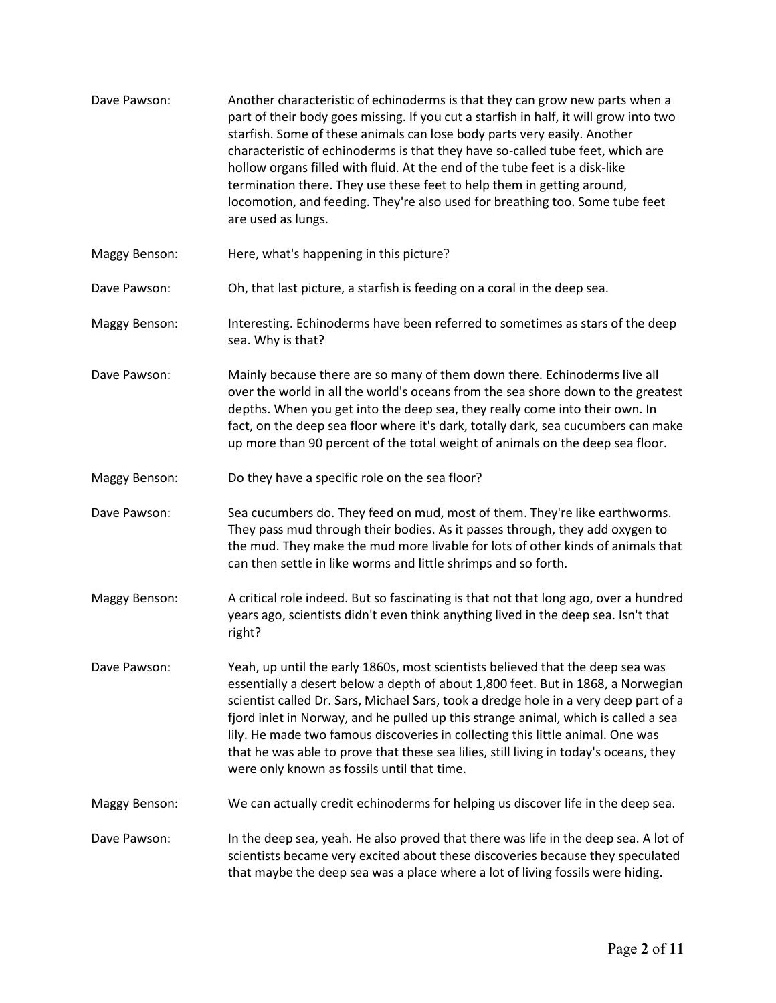| Dave Pawson:         | Another characteristic of echinoderms is that they can grow new parts when a<br>part of their body goes missing. If you cut a starfish in half, it will grow into two<br>starfish. Some of these animals can lose body parts very easily. Another<br>characteristic of echinoderms is that they have so-called tube feet, which are<br>hollow organs filled with fluid. At the end of the tube feet is a disk-like<br>termination there. They use these feet to help them in getting around,<br>locomotion, and feeding. They're also used for breathing too. Some tube feet<br>are used as lungs. |
|----------------------|----------------------------------------------------------------------------------------------------------------------------------------------------------------------------------------------------------------------------------------------------------------------------------------------------------------------------------------------------------------------------------------------------------------------------------------------------------------------------------------------------------------------------------------------------------------------------------------------------|
| Maggy Benson:        | Here, what's happening in this picture?                                                                                                                                                                                                                                                                                                                                                                                                                                                                                                                                                            |
| Dave Pawson:         | Oh, that last picture, a starfish is feeding on a coral in the deep sea.                                                                                                                                                                                                                                                                                                                                                                                                                                                                                                                           |
| Maggy Benson:        | Interesting. Echinoderms have been referred to sometimes as stars of the deep<br>sea. Why is that?                                                                                                                                                                                                                                                                                                                                                                                                                                                                                                 |
| Dave Pawson:         | Mainly because there are so many of them down there. Echinoderms live all<br>over the world in all the world's oceans from the sea shore down to the greatest<br>depths. When you get into the deep sea, they really come into their own. In<br>fact, on the deep sea floor where it's dark, totally dark, sea cucumbers can make<br>up more than 90 percent of the total weight of animals on the deep sea floor.                                                                                                                                                                                 |
| Maggy Benson:        | Do they have a specific role on the sea floor?                                                                                                                                                                                                                                                                                                                                                                                                                                                                                                                                                     |
| Dave Pawson:         | Sea cucumbers do. They feed on mud, most of them. They're like earthworms.<br>They pass mud through their bodies. As it passes through, they add oxygen to<br>the mud. They make the mud more livable for lots of other kinds of animals that<br>can then settle in like worms and little shrimps and so forth.                                                                                                                                                                                                                                                                                    |
| Maggy Benson:        | A critical role indeed. But so fascinating is that not that long ago, over a hundred<br>years ago, scientists didn't even think anything lived in the deep sea. Isn't that<br>right?                                                                                                                                                                                                                                                                                                                                                                                                               |
| Dave Pawson:         | Yeah, up until the early 1860s, most scientists believed that the deep sea was<br>essentially a desert below a depth of about 1,800 feet. But in 1868, a Norwegian<br>scientist called Dr. Sars, Michael Sars, took a dredge hole in a very deep part of a<br>fjord inlet in Norway, and he pulled up this strange animal, which is called a sea<br>lily. He made two famous discoveries in collecting this little animal. One was<br>that he was able to prove that these sea lilies, still living in today's oceans, they<br>were only known as fossils until that time.                         |
| <b>Maggy Benson:</b> | We can actually credit echinoderms for helping us discover life in the deep sea.                                                                                                                                                                                                                                                                                                                                                                                                                                                                                                                   |
| Dave Pawson:         | In the deep sea, yeah. He also proved that there was life in the deep sea. A lot of<br>scientists became very excited about these discoveries because they speculated<br>that maybe the deep sea was a place where a lot of living fossils were hiding.                                                                                                                                                                                                                                                                                                                                            |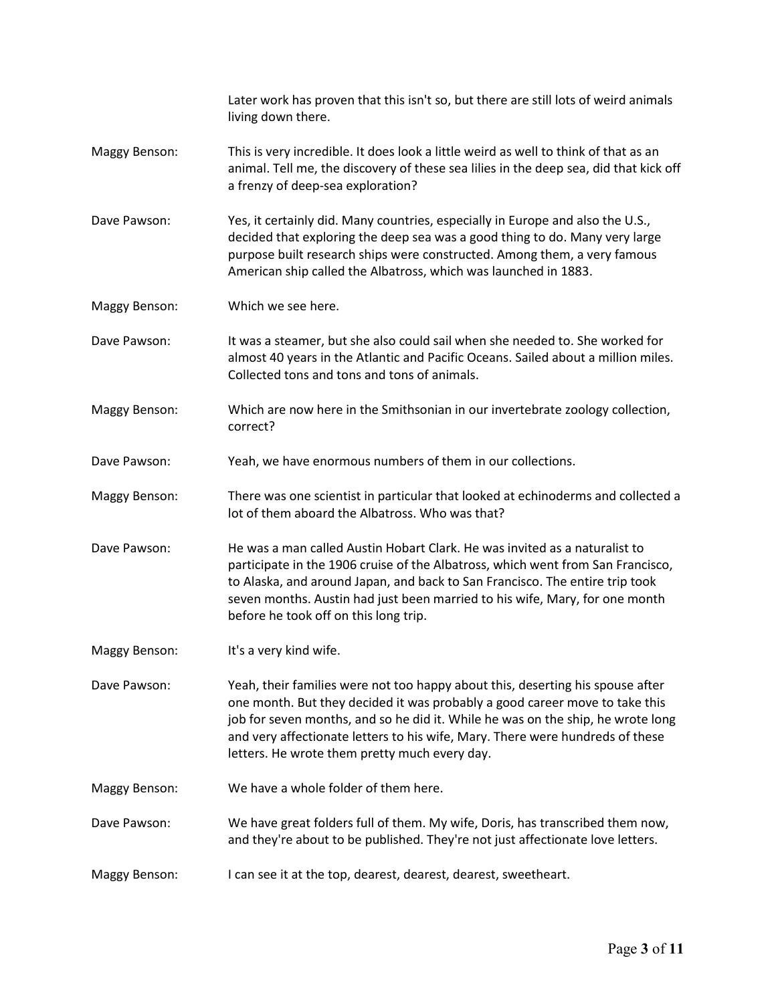|                      | Later work has proven that this isn't so, but there are still lots of weird animals<br>living down there.                                                                                                                                                                                                                                                                          |
|----------------------|------------------------------------------------------------------------------------------------------------------------------------------------------------------------------------------------------------------------------------------------------------------------------------------------------------------------------------------------------------------------------------|
| Maggy Benson:        | This is very incredible. It does look a little weird as well to think of that as an<br>animal. Tell me, the discovery of these sea lilies in the deep sea, did that kick off<br>a frenzy of deep-sea exploration?                                                                                                                                                                  |
| Dave Pawson:         | Yes, it certainly did. Many countries, especially in Europe and also the U.S.,<br>decided that exploring the deep sea was a good thing to do. Many very large<br>purpose built research ships were constructed. Among them, a very famous<br>American ship called the Albatross, which was launched in 1883.                                                                       |
| Maggy Benson:        | Which we see here.                                                                                                                                                                                                                                                                                                                                                                 |
| Dave Pawson:         | It was a steamer, but she also could sail when she needed to. She worked for<br>almost 40 years in the Atlantic and Pacific Oceans. Sailed about a million miles.<br>Collected tons and tons and tons of animals.                                                                                                                                                                  |
| <b>Maggy Benson:</b> | Which are now here in the Smithsonian in our invertebrate zoology collection,<br>correct?                                                                                                                                                                                                                                                                                          |
| Dave Pawson:         | Yeah, we have enormous numbers of them in our collections.                                                                                                                                                                                                                                                                                                                         |
| <b>Maggy Benson:</b> | There was one scientist in particular that looked at echinoderms and collected a<br>lot of them aboard the Albatross. Who was that?                                                                                                                                                                                                                                                |
| Dave Pawson:         | He was a man called Austin Hobart Clark. He was invited as a naturalist to<br>participate in the 1906 cruise of the Albatross, which went from San Francisco,<br>to Alaska, and around Japan, and back to San Francisco. The entire trip took<br>seven months. Austin had just been married to his wife, Mary, for one month<br>before he took off on this long trip.              |
| Maggy Benson:        | It's a very kind wife.                                                                                                                                                                                                                                                                                                                                                             |
| Dave Pawson:         | Yeah, their families were not too happy about this, deserting his spouse after<br>one month. But they decided it was probably a good career move to take this<br>job for seven months, and so he did it. While he was on the ship, he wrote long<br>and very affectionate letters to his wife, Mary. There were hundreds of these<br>letters. He wrote them pretty much every day. |
| Maggy Benson:        | We have a whole folder of them here.                                                                                                                                                                                                                                                                                                                                               |
| Dave Pawson:         | We have great folders full of them. My wife, Doris, has transcribed them now,<br>and they're about to be published. They're not just affectionate love letters.                                                                                                                                                                                                                    |
| <b>Maggy Benson:</b> | I can see it at the top, dearest, dearest, dearest, sweetheart.                                                                                                                                                                                                                                                                                                                    |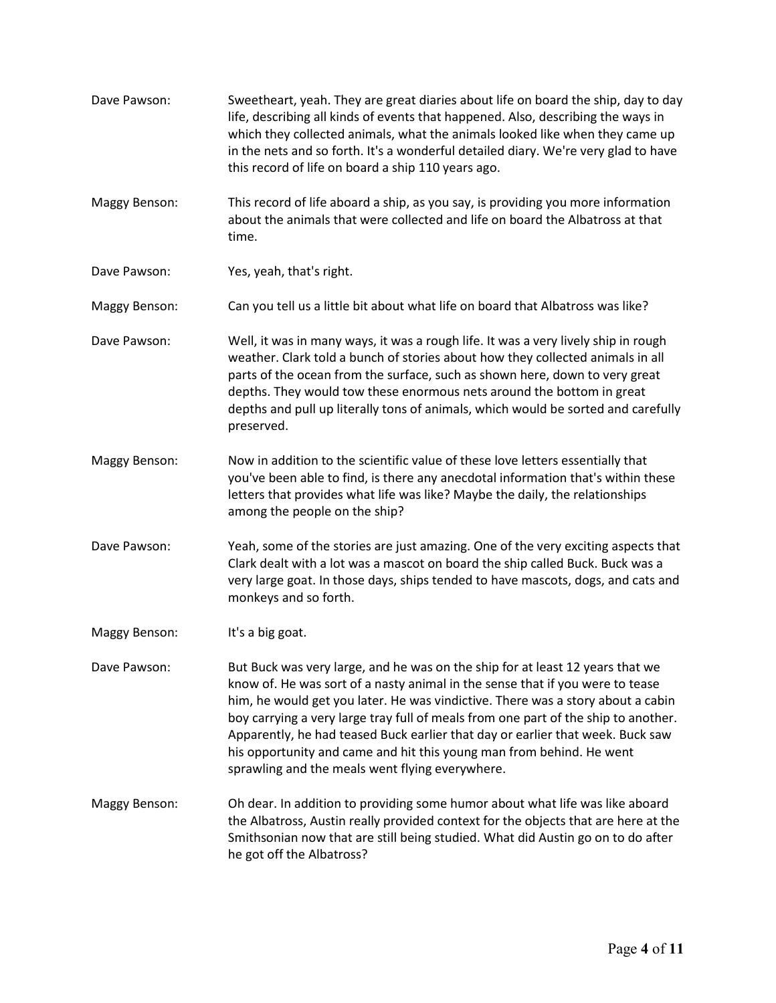Dave Pawson: Sweetheart, yeah. They are great diaries about life on board the ship, day to day life, describing all kinds of events that happened. Also, describing the ways in which they collected animals, what the animals looked like when they came up in the nets and so forth. It's a wonderful detailed diary. We're very glad to have this record of life on board a ship 110 years ago. Maggy Benson: This record of life aboard a ship, as you say, is providing you more information about the animals that were collected and life on board the Albatross at that time. Dave Pawson: Yes, yeah, that's right. Maggy Benson: Can you tell us a little bit about what life on board that Albatross was like? Dave Pawson: Well, it was in many ways, it was a rough life. It was a very lively ship in rough weather. Clark told a bunch of stories about how they collected animals in all parts of the ocean from the surface, such as shown here, down to very great depths. They would tow these enormous nets around the bottom in great depths and pull up literally tons of animals, which would be sorted and carefully preserved. Maggy Benson: Now in addition to the scientific value of these love letters essentially that you've been able to find, is there any anecdotal information that's within these letters that provides what life was like? Maybe the daily, the relationships among the people on the ship? Dave Pawson: Yeah, some of the stories are just amazing. One of the very exciting aspects that Clark dealt with a lot was a mascot on board the ship called Buck. Buck was a very large goat. In those days, ships tended to have mascots, dogs, and cats and monkeys and so forth. Maggy Benson: It's a big goat. Dave Pawson: But Buck was very large, and he was on the ship for at least 12 years that we know of. He was sort of a nasty animal in the sense that if you were to tease him, he would get you later. He was vindictive. There was a story about a cabin boy carrying a very large tray full of meals from one part of the ship to another. Apparently, he had teased Buck earlier that day or earlier that week. Buck saw his opportunity and came and hit this young man from behind. He went sprawling and the meals went flying everywhere. Maggy Benson: Oh dear. In addition to providing some humor about what life was like aboard the Albatross, Austin really provided context for the objects that are here at the Smithsonian now that are still being studied. What did Austin go on to do after he got off the Albatross?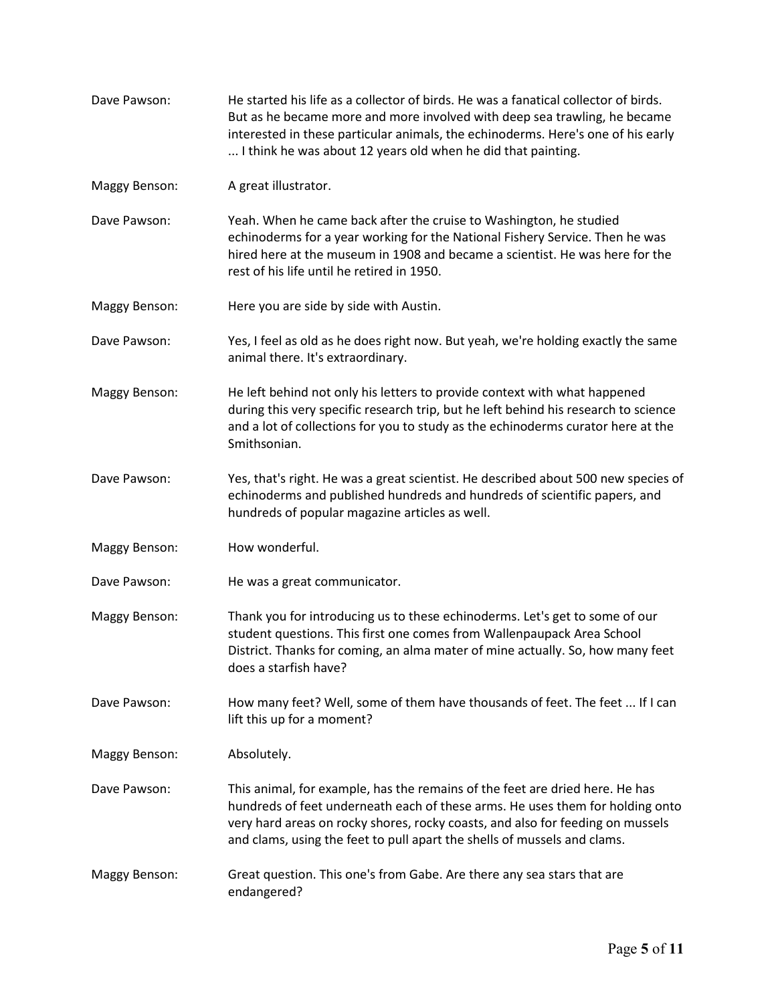| Dave Pawson:  | He started his life as a collector of birds. He was a fanatical collector of birds.<br>But as he became more and more involved with deep sea trawling, he became<br>interested in these particular animals, the echinoderms. Here's one of his early<br>I think he was about 12 years old when he did that painting.        |
|---------------|-----------------------------------------------------------------------------------------------------------------------------------------------------------------------------------------------------------------------------------------------------------------------------------------------------------------------------|
| Maggy Benson: | A great illustrator.                                                                                                                                                                                                                                                                                                        |
| Dave Pawson:  | Yeah. When he came back after the cruise to Washington, he studied<br>echinoderms for a year working for the National Fishery Service. Then he was<br>hired here at the museum in 1908 and became a scientist. He was here for the<br>rest of his life until he retired in 1950.                                            |
| Maggy Benson: | Here you are side by side with Austin.                                                                                                                                                                                                                                                                                      |
| Dave Pawson:  | Yes, I feel as old as he does right now. But yeah, we're holding exactly the same<br>animal there. It's extraordinary.                                                                                                                                                                                                      |
| Maggy Benson: | He left behind not only his letters to provide context with what happened<br>during this very specific research trip, but he left behind his research to science<br>and a lot of collections for you to study as the echinoderms curator here at the<br>Smithsonian.                                                        |
| Dave Pawson:  | Yes, that's right. He was a great scientist. He described about 500 new species of<br>echinoderms and published hundreds and hundreds of scientific papers, and<br>hundreds of popular magazine articles as well.                                                                                                           |
| Maggy Benson: | How wonderful.                                                                                                                                                                                                                                                                                                              |
| Dave Pawson:  | He was a great communicator.                                                                                                                                                                                                                                                                                                |
| Maggy Benson: | Thank you for introducing us to these echinoderms. Let's get to some of our<br>student questions. This first one comes from Wallenpaupack Area School<br>District. Thanks for coming, an alma mater of mine actually. So, how many feet<br>does a starfish have?                                                            |
| Dave Pawson:  | How many feet? Well, some of them have thousands of feet. The feet  If I can<br>lift this up for a moment?                                                                                                                                                                                                                  |
| Maggy Benson: | Absolutely.                                                                                                                                                                                                                                                                                                                 |
| Dave Pawson:  | This animal, for example, has the remains of the feet are dried here. He has<br>hundreds of feet underneath each of these arms. He uses them for holding onto<br>very hard areas on rocky shores, rocky coasts, and also for feeding on mussels<br>and clams, using the feet to pull apart the shells of mussels and clams. |
| Maggy Benson: | Great question. This one's from Gabe. Are there any sea stars that are<br>endangered?                                                                                                                                                                                                                                       |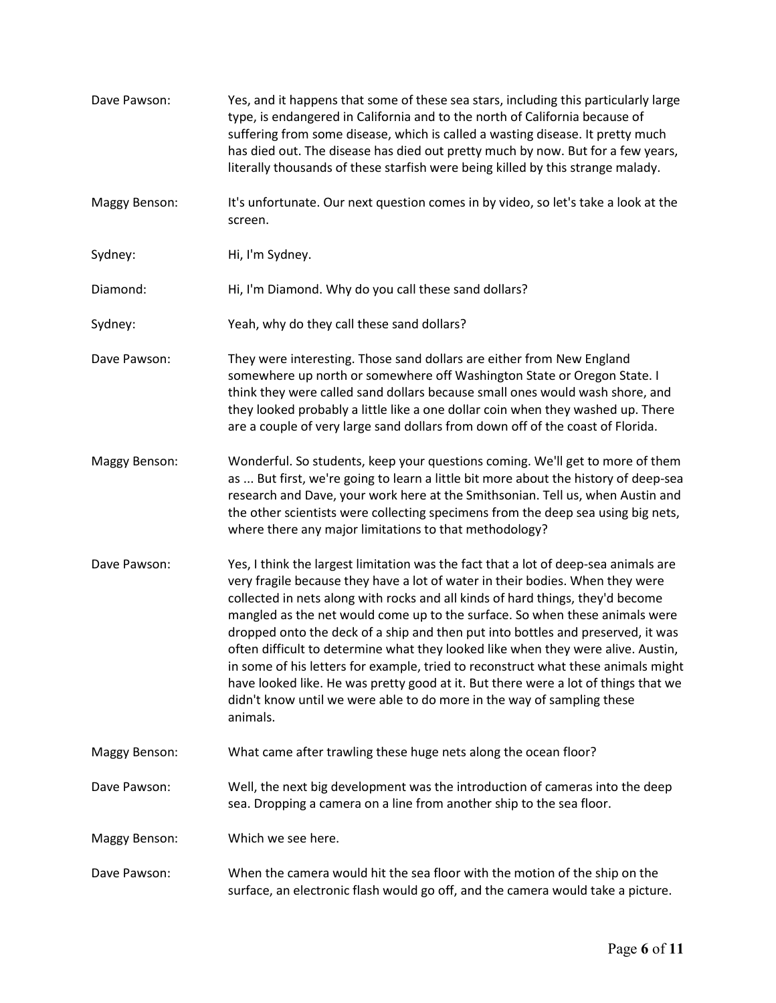| Dave Pawson:         | Yes, and it happens that some of these sea stars, including this particularly large<br>type, is endangered in California and to the north of California because of<br>suffering from some disease, which is called a wasting disease. It pretty much<br>has died out. The disease has died out pretty much by now. But for a few years,<br>literally thousands of these starfish were being killed by this strange malady.                                                                                                                                                                                                                                                                                                                                                    |
|----------------------|-------------------------------------------------------------------------------------------------------------------------------------------------------------------------------------------------------------------------------------------------------------------------------------------------------------------------------------------------------------------------------------------------------------------------------------------------------------------------------------------------------------------------------------------------------------------------------------------------------------------------------------------------------------------------------------------------------------------------------------------------------------------------------|
| Maggy Benson:        | It's unfortunate. Our next question comes in by video, so let's take a look at the<br>screen.                                                                                                                                                                                                                                                                                                                                                                                                                                                                                                                                                                                                                                                                                 |
| Sydney:              | Hi, I'm Sydney.                                                                                                                                                                                                                                                                                                                                                                                                                                                                                                                                                                                                                                                                                                                                                               |
| Diamond:             | Hi, I'm Diamond. Why do you call these sand dollars?                                                                                                                                                                                                                                                                                                                                                                                                                                                                                                                                                                                                                                                                                                                          |
| Sydney:              | Yeah, why do they call these sand dollars?                                                                                                                                                                                                                                                                                                                                                                                                                                                                                                                                                                                                                                                                                                                                    |
| Dave Pawson:         | They were interesting. Those sand dollars are either from New England<br>somewhere up north or somewhere off Washington State or Oregon State. I<br>think they were called sand dollars because small ones would wash shore, and<br>they looked probably a little like a one dollar coin when they washed up. There<br>are a couple of very large sand dollars from down off of the coast of Florida.                                                                                                                                                                                                                                                                                                                                                                         |
| <b>Maggy Benson:</b> | Wonderful. So students, keep your questions coming. We'll get to more of them<br>as  But first, we're going to learn a little bit more about the history of deep-sea<br>research and Dave, your work here at the Smithsonian. Tell us, when Austin and<br>the other scientists were collecting specimens from the deep sea using big nets,<br>where there any major limitations to that methodology?                                                                                                                                                                                                                                                                                                                                                                          |
| Dave Pawson:         | Yes, I think the largest limitation was the fact that a lot of deep-sea animals are<br>very fragile because they have a lot of water in their bodies. When they were<br>collected in nets along with rocks and all kinds of hard things, they'd become<br>mangled as the net would come up to the surface. So when these animals were<br>dropped onto the deck of a ship and then put into bottles and preserved, it was<br>often difficult to determine what they looked like when they were alive. Austin,<br>in some of his letters for example, tried to reconstruct what these animals might<br>have looked like. He was pretty good at it. But there were a lot of things that we<br>didn't know until we were able to do more in the way of sampling these<br>animals. |
| <b>Maggy Benson:</b> | What came after trawling these huge nets along the ocean floor?                                                                                                                                                                                                                                                                                                                                                                                                                                                                                                                                                                                                                                                                                                               |
| Dave Pawson:         | Well, the next big development was the introduction of cameras into the deep<br>sea. Dropping a camera on a line from another ship to the sea floor.                                                                                                                                                                                                                                                                                                                                                                                                                                                                                                                                                                                                                          |
| Maggy Benson:        | Which we see here.                                                                                                                                                                                                                                                                                                                                                                                                                                                                                                                                                                                                                                                                                                                                                            |
| Dave Pawson:         | When the camera would hit the sea floor with the motion of the ship on the<br>surface, an electronic flash would go off, and the camera would take a picture.                                                                                                                                                                                                                                                                                                                                                                                                                                                                                                                                                                                                                 |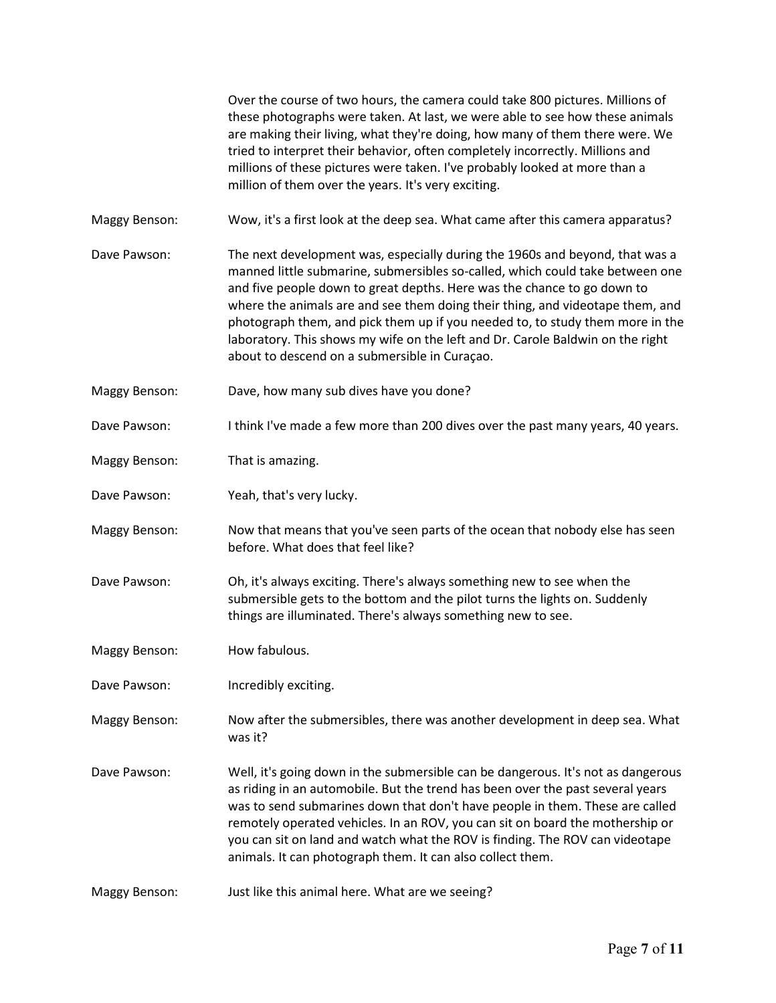|                      | Over the course of two hours, the camera could take 800 pictures. Millions of<br>these photographs were taken. At last, we were able to see how these animals<br>are making their living, what they're doing, how many of them there were. We<br>tried to interpret their behavior, often completely incorrectly. Millions and<br>millions of these pictures were taken. I've probably looked at more than a<br>million of them over the years. It's very exciting.                                                                           |
|----------------------|-----------------------------------------------------------------------------------------------------------------------------------------------------------------------------------------------------------------------------------------------------------------------------------------------------------------------------------------------------------------------------------------------------------------------------------------------------------------------------------------------------------------------------------------------|
| Maggy Benson:        | Wow, it's a first look at the deep sea. What came after this camera apparatus?                                                                                                                                                                                                                                                                                                                                                                                                                                                                |
| Dave Pawson:         | The next development was, especially during the 1960s and beyond, that was a<br>manned little submarine, submersibles so-called, which could take between one<br>and five people down to great depths. Here was the chance to go down to<br>where the animals are and see them doing their thing, and videotape them, and<br>photograph them, and pick them up if you needed to, to study them more in the<br>laboratory. This shows my wife on the left and Dr. Carole Baldwin on the right<br>about to descend on a submersible in Curaçao. |
| Maggy Benson:        | Dave, how many sub dives have you done?                                                                                                                                                                                                                                                                                                                                                                                                                                                                                                       |
| Dave Pawson:         | I think I've made a few more than 200 dives over the past many years, 40 years.                                                                                                                                                                                                                                                                                                                                                                                                                                                               |
| <b>Maggy Benson:</b> | That is amazing.                                                                                                                                                                                                                                                                                                                                                                                                                                                                                                                              |
| Dave Pawson:         | Yeah, that's very lucky.                                                                                                                                                                                                                                                                                                                                                                                                                                                                                                                      |
| Maggy Benson:        | Now that means that you've seen parts of the ocean that nobody else has seen<br>before. What does that feel like?                                                                                                                                                                                                                                                                                                                                                                                                                             |
| Dave Pawson:         | Oh, it's always exciting. There's always something new to see when the<br>submersible gets to the bottom and the pilot turns the lights on. Suddenly<br>things are illuminated. There's always something new to see.                                                                                                                                                                                                                                                                                                                          |
| Maggy Benson:        | How fabulous.                                                                                                                                                                                                                                                                                                                                                                                                                                                                                                                                 |
| Dave Pawson:         | Incredibly exciting.                                                                                                                                                                                                                                                                                                                                                                                                                                                                                                                          |
| Maggy Benson:        | Now after the submersibles, there was another development in deep sea. What<br>was it?                                                                                                                                                                                                                                                                                                                                                                                                                                                        |
| Dave Pawson:         | Well, it's going down in the submersible can be dangerous. It's not as dangerous<br>as riding in an automobile. But the trend has been over the past several years<br>was to send submarines down that don't have people in them. These are called<br>remotely operated vehicles. In an ROV, you can sit on board the mothership or<br>you can sit on land and watch what the ROV is finding. The ROV can videotape<br>animals. It can photograph them. It can also collect them.                                                             |
| Maggy Benson:        | Just like this animal here. What are we seeing?                                                                                                                                                                                                                                                                                                                                                                                                                                                                                               |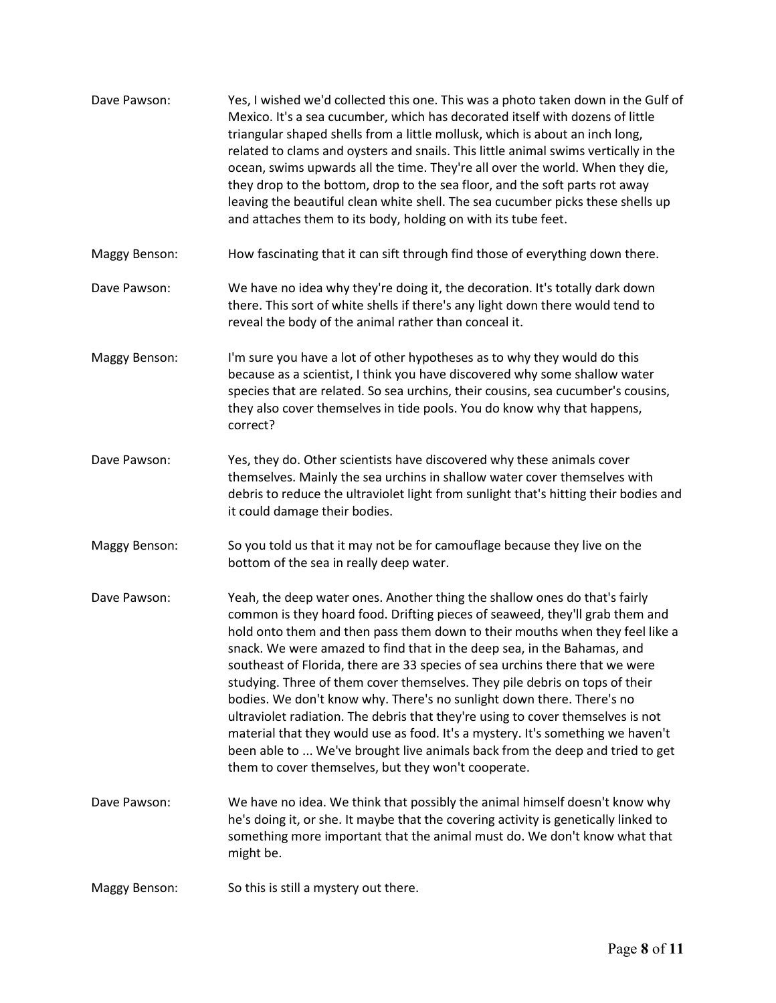| Dave Pawson:  | Yes, I wished we'd collected this one. This was a photo taken down in the Gulf of<br>Mexico. It's a sea cucumber, which has decorated itself with dozens of little<br>triangular shaped shells from a little mollusk, which is about an inch long,<br>related to clams and oysters and snails. This little animal swims vertically in the<br>ocean, swims upwards all the time. They're all over the world. When they die,<br>they drop to the bottom, drop to the sea floor, and the soft parts rot away<br>leaving the beautiful clean white shell. The sea cucumber picks these shells up<br>and attaches them to its body, holding on with its tube feet.                                                                                                                                                                                                              |
|---------------|----------------------------------------------------------------------------------------------------------------------------------------------------------------------------------------------------------------------------------------------------------------------------------------------------------------------------------------------------------------------------------------------------------------------------------------------------------------------------------------------------------------------------------------------------------------------------------------------------------------------------------------------------------------------------------------------------------------------------------------------------------------------------------------------------------------------------------------------------------------------------|
| Maggy Benson: | How fascinating that it can sift through find those of everything down there.                                                                                                                                                                                                                                                                                                                                                                                                                                                                                                                                                                                                                                                                                                                                                                                              |
| Dave Pawson:  | We have no idea why they're doing it, the decoration. It's totally dark down<br>there. This sort of white shells if there's any light down there would tend to<br>reveal the body of the animal rather than conceal it.                                                                                                                                                                                                                                                                                                                                                                                                                                                                                                                                                                                                                                                    |
| Maggy Benson: | I'm sure you have a lot of other hypotheses as to why they would do this<br>because as a scientist, I think you have discovered why some shallow water<br>species that are related. So sea urchins, their cousins, sea cucumber's cousins,<br>they also cover themselves in tide pools. You do know why that happens,<br>correct?                                                                                                                                                                                                                                                                                                                                                                                                                                                                                                                                          |
| Dave Pawson:  | Yes, they do. Other scientists have discovered why these animals cover<br>themselves. Mainly the sea urchins in shallow water cover themselves with<br>debris to reduce the ultraviolet light from sunlight that's hitting their bodies and<br>it could damage their bodies.                                                                                                                                                                                                                                                                                                                                                                                                                                                                                                                                                                                               |
| Maggy Benson: | So you told us that it may not be for camouflage because they live on the<br>bottom of the sea in really deep water.                                                                                                                                                                                                                                                                                                                                                                                                                                                                                                                                                                                                                                                                                                                                                       |
| Dave Pawson:  | Yeah, the deep water ones. Another thing the shallow ones do that's fairly<br>common is they hoard food. Drifting pieces of seaweed, they'll grab them and<br>hold onto them and then pass them down to their mouths when they feel like a<br>snack. We were amazed to find that in the deep sea, in the Bahamas, and<br>southeast of Florida, there are 33 species of sea urchins there that we were<br>studying. Three of them cover themselves. They pile debris on tops of their<br>bodies. We don't know why. There's no sunlight down there. There's no<br>ultraviolet radiation. The debris that they're using to cover themselves is not<br>material that they would use as food. It's a mystery. It's something we haven't<br>been able to  We've brought live animals back from the deep and tried to get<br>them to cover themselves, but they won't cooperate. |
| Dave Pawson:  | We have no idea. We think that possibly the animal himself doesn't know why<br>he's doing it, or she. It maybe that the covering activity is genetically linked to<br>something more important that the animal must do. We don't know what that<br>might be.                                                                                                                                                                                                                                                                                                                                                                                                                                                                                                                                                                                                               |
| Maggy Benson: | So this is still a mystery out there.                                                                                                                                                                                                                                                                                                                                                                                                                                                                                                                                                                                                                                                                                                                                                                                                                                      |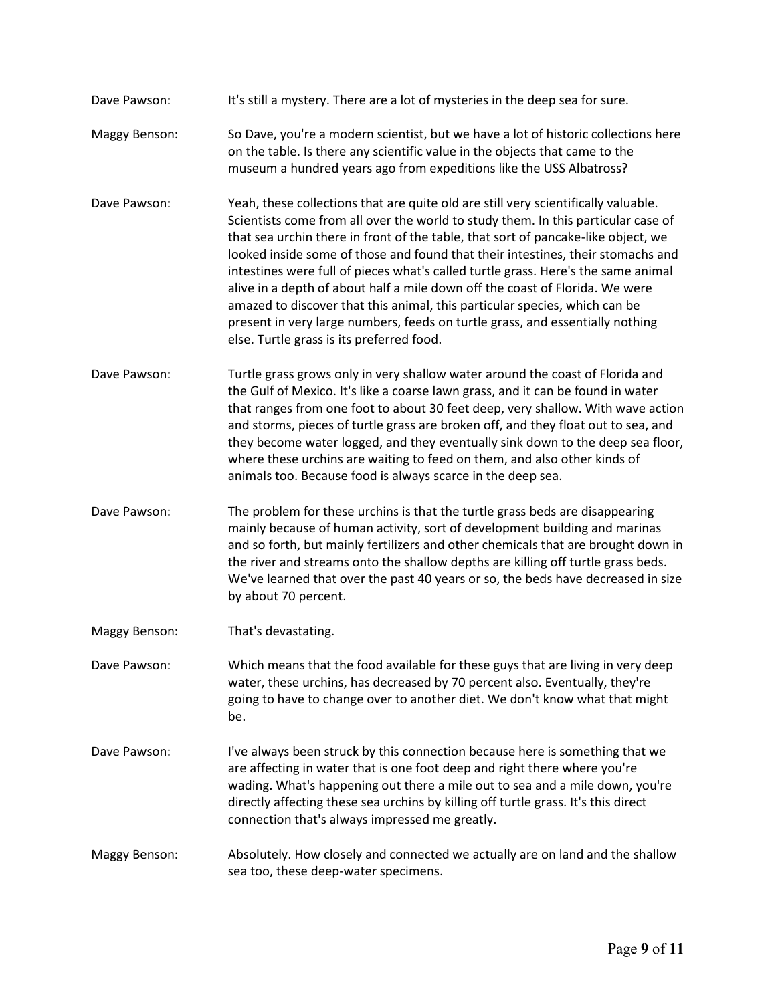- Dave Pawson: It's still a mystery. There are a lot of mysteries in the deep sea for sure.
- Maggy Benson: So Dave, you're a modern scientist, but we have a lot of historic collections here on the table. Is there any scientific value in the objects that came to the museum a hundred years ago from expeditions like the USS Albatross?
- Dave Pawson: Yeah, these collections that are quite old are still very scientifically valuable. Scientists come from all over the world to study them. In this particular case of that sea urchin there in front of the table, that sort of pancake-like object, we looked inside some of those and found that their intestines, their stomachs and intestines were full of pieces what's called turtle grass. Here's the same animal alive in a depth of about half a mile down off the coast of Florida. We were amazed to discover that this animal, this particular species, which can be present in very large numbers, feeds on turtle grass, and essentially nothing else. Turtle grass is its preferred food.
- Dave Pawson: Turtle grass grows only in very shallow water around the coast of Florida and the Gulf of Mexico. It's like a coarse lawn grass, and it can be found in water that ranges from one foot to about 30 feet deep, very shallow. With wave action and storms, pieces of turtle grass are broken off, and they float out to sea, and they become water logged, and they eventually sink down to the deep sea floor, where these urchins are waiting to feed on them, and also other kinds of animals too. Because food is always scarce in the deep sea.
- Dave Pawson: The problem for these urchins is that the turtle grass beds are disappearing mainly because of human activity, sort of development building and marinas and so forth, but mainly fertilizers and other chemicals that are brought down in the river and streams onto the shallow depths are killing off turtle grass beds. We've learned that over the past 40 years or so, the beds have decreased in size by about 70 percent.
- Maggy Benson: That's devastating.
- Dave Pawson: Which means that the food available for these guys that are living in very deep water, these urchins, has decreased by 70 percent also. Eventually, they're going to have to change over to another diet. We don't know what that might be.
- Dave Pawson: I've always been struck by this connection because here is something that we are affecting in water that is one foot deep and right there where you're wading. What's happening out there a mile out to sea and a mile down, you're directly affecting these sea urchins by killing off turtle grass. It's this direct connection that's always impressed me greatly.
- Maggy Benson: Absolutely. How closely and connected we actually are on land and the shallow sea too, these deep-water specimens.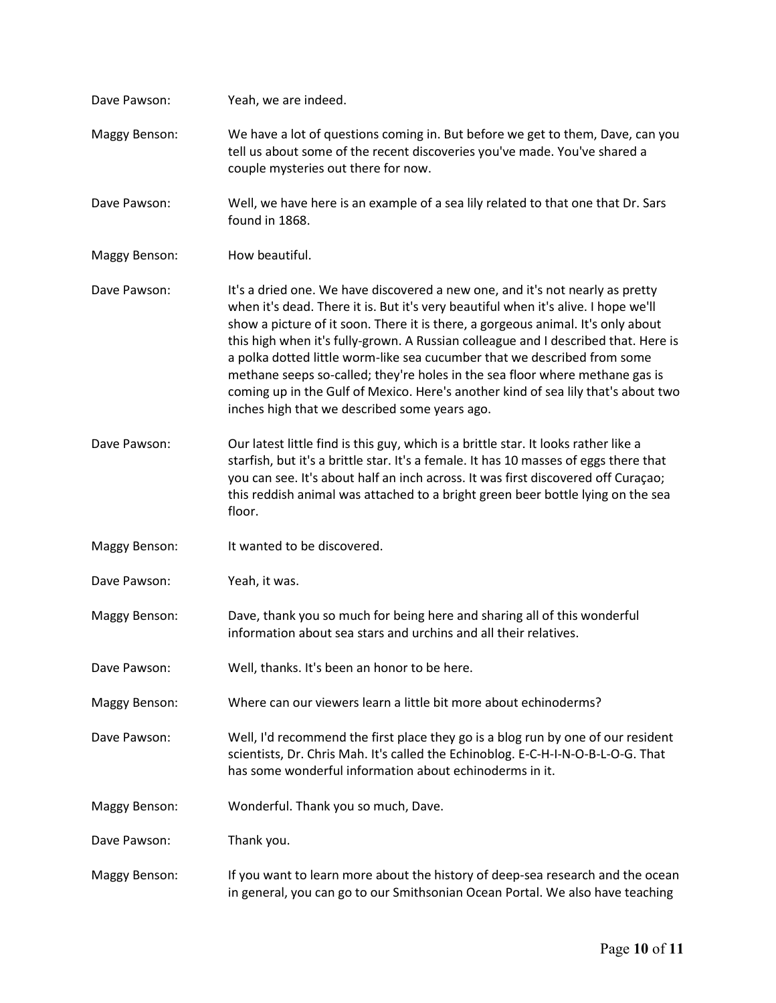| Dave Pawson:         | Yeah, we are indeed.                                                                                                                                                                                                                                                                                                                                                                                                                                                                                                                                                                                                                            |
|----------------------|-------------------------------------------------------------------------------------------------------------------------------------------------------------------------------------------------------------------------------------------------------------------------------------------------------------------------------------------------------------------------------------------------------------------------------------------------------------------------------------------------------------------------------------------------------------------------------------------------------------------------------------------------|
| <b>Maggy Benson:</b> | We have a lot of questions coming in. But before we get to them, Dave, can you<br>tell us about some of the recent discoveries you've made. You've shared a<br>couple mysteries out there for now.                                                                                                                                                                                                                                                                                                                                                                                                                                              |
| Dave Pawson:         | Well, we have here is an example of a sea lily related to that one that Dr. Sars<br>found in 1868.                                                                                                                                                                                                                                                                                                                                                                                                                                                                                                                                              |
| Maggy Benson:        | How beautiful.                                                                                                                                                                                                                                                                                                                                                                                                                                                                                                                                                                                                                                  |
| Dave Pawson:         | It's a dried one. We have discovered a new one, and it's not nearly as pretty<br>when it's dead. There it is. But it's very beautiful when it's alive. I hope we'll<br>show a picture of it soon. There it is there, a gorgeous animal. It's only about<br>this high when it's fully-grown. A Russian colleague and I described that. Here is<br>a polka dotted little worm-like sea cucumber that we described from some<br>methane seeps so-called; they're holes in the sea floor where methane gas is<br>coming up in the Gulf of Mexico. Here's another kind of sea lily that's about two<br>inches high that we described some years ago. |
| Dave Pawson:         | Our latest little find is this guy, which is a brittle star. It looks rather like a<br>starfish, but it's a brittle star. It's a female. It has 10 masses of eggs there that<br>you can see. It's about half an inch across. It was first discovered off Curaçao;<br>this reddish animal was attached to a bright green beer bottle lying on the sea<br>floor.                                                                                                                                                                                                                                                                                  |
| <b>Maggy Benson:</b> | It wanted to be discovered.                                                                                                                                                                                                                                                                                                                                                                                                                                                                                                                                                                                                                     |
| Dave Pawson:         | Yeah, it was.                                                                                                                                                                                                                                                                                                                                                                                                                                                                                                                                                                                                                                   |
| <b>Maggy Benson:</b> | Dave, thank you so much for being here and sharing all of this wonderful<br>information about sea stars and urchins and all their relatives.                                                                                                                                                                                                                                                                                                                                                                                                                                                                                                    |
| Dave Pawson:         | Well, thanks. It's been an honor to be here.                                                                                                                                                                                                                                                                                                                                                                                                                                                                                                                                                                                                    |
| Maggy Benson:        | Where can our viewers learn a little bit more about echinoderms?                                                                                                                                                                                                                                                                                                                                                                                                                                                                                                                                                                                |
| Dave Pawson:         | Well, I'd recommend the first place they go is a blog run by one of our resident<br>scientists, Dr. Chris Mah. It's called the Echinoblog. E-C-H-I-N-O-B-L-O-G. That<br>has some wonderful information about echinoderms in it.                                                                                                                                                                                                                                                                                                                                                                                                                 |
| Maggy Benson:        | Wonderful. Thank you so much, Dave.                                                                                                                                                                                                                                                                                                                                                                                                                                                                                                                                                                                                             |
| Dave Pawson:         | Thank you.                                                                                                                                                                                                                                                                                                                                                                                                                                                                                                                                                                                                                                      |
| <b>Maggy Benson:</b> | If you want to learn more about the history of deep-sea research and the ocean<br>in general, you can go to our Smithsonian Ocean Portal. We also have teaching                                                                                                                                                                                                                                                                                                                                                                                                                                                                                 |